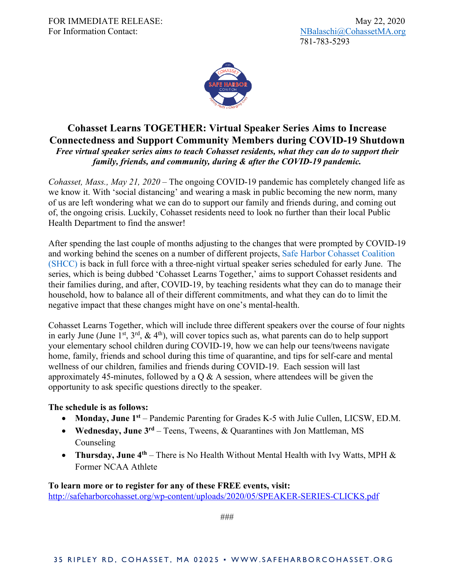

## **Cohasset Learns TOGETHER: Virtual Speaker Series Aims to Increase Connectedness and Support Community Members during COVID-19 Shutdown** *Free virtual speaker series aims to teach Cohasset residents, what they can do to support their family, friends, and community, during & after the COVID-19 pandemic.*

*Cohasset, Mass., May 21, 2020* – The ongoing COVID-19 pandemic has completely changed life as we know it. With 'social distancing' and wearing a mask in public becoming the new norm, many of us are left wondering what we can do to support our family and friends during, and coming out of, the ongoing crisis. Luckily, Cohasset residents need to look no further than their local Public Health Department to find the answer!

After spending the last couple of months adjusting to the changes that were prompted by COVID-19 and working behind the scenes on a number of different projects, Safe Harbor Cohasset Coalition (SHCC) is back in full force with a three-night virtual speaker series scheduled for early June. The series, which is being dubbed 'Cohasset Learns Together,' aims to support Cohasset residents and their families during, and after, COVID-19, by teaching residents what they can do to manage their household, how to balance all of their different commitments, and what they can do to limit the negative impact that these changes might have on one's mental-health.

Cohasset Learns Together, which will include three different speakers over the course of four nights in early June (June 1<sup>st</sup>,  $3^{rd}$ ,  $\&$  4<sup>th</sup>), will cover topics such as, what parents can do to help support your elementary school children during COVID-19, how we can help our teens/tweens navigate home, family, friends and school during this time of quarantine, and tips for self-care and mental wellness of our children, families and friends during COVID-19. Each session will last approximately 45-minutes, followed by a  $Q & A$  session, where attendees will be given the opportunity to ask specific questions directly to the speaker.

## **The schedule is as follows:**

- **Monday, June 1**<sup>st</sup> Pandemic Parenting for Grades K-5 with Julie Cullen, LICSW, ED.M.
- **Wednesday, June 3rd** Teens, Tweens, & Quarantines with Jon Mattleman, MS Counseling
- **Thursday, June 4<sup>th</sup>** There is No Health Without Mental Health with Ivy Watts, MPH & Former NCAA Athlete

**To learn more or to register for any of these FREE events, visit:** http://safeharborcohasset.org/wp-content/uploads/2020/05/SPEAKER-SERIES-CLICKS.pdf

###